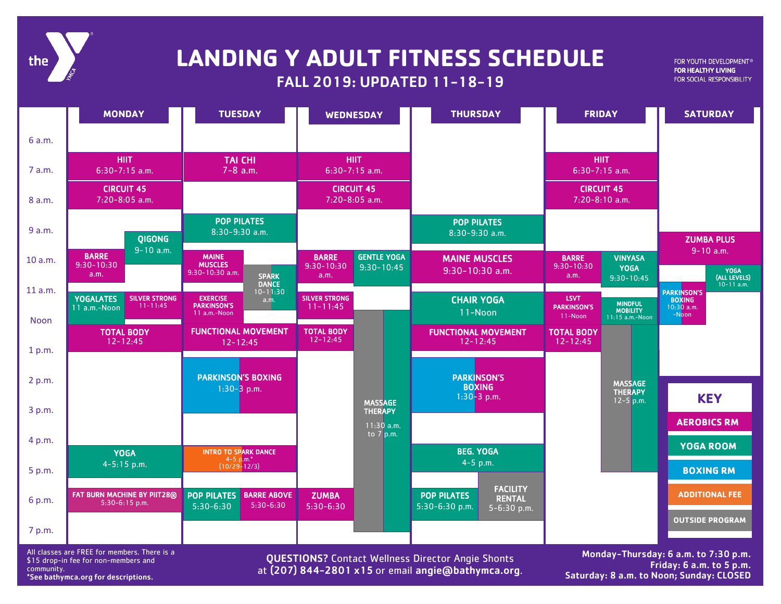

## **LANDING Y ADULT FITNESS SCHEDULE**

### FALL 2019: UPDATED 11-18-19

FOR YOUTH DEVELOPMENT® FOR HEALTHY LIVING FOR SOCIAL RESPONSIBILITY

|         | <b>MONDAY</b>                                            | <b>TUESDAY</b>                                                                | <b>WEDNESDAY</b>                         | <b>THURSDAY</b>                                                                               | <b>FRIDAY</b>                                                   | <b>SATURDAY</b>                                       |
|---------|----------------------------------------------------------|-------------------------------------------------------------------------------|------------------------------------------|-----------------------------------------------------------------------------------------------|-----------------------------------------------------------------|-------------------------------------------------------|
| 6 a.m.  |                                                          |                                                                               |                                          |                                                                                               |                                                                 |                                                       |
| 7 a.m.  | <b>HIIT</b><br>$6:30-7:15$ a.m.                          | <b>TAI CHI</b><br>$7 - 8$ a.m.                                                | <b>HIIT</b><br>$6:30-7:15$ a.m.          |                                                                                               | <b>HIIT</b><br>$6:30-7:15$ a.m.                                 |                                                       |
| 8 a.m.  | <b>CIRCUIT 45</b><br>7:20-8:05 a.m.                      |                                                                               | <b>CIRCUIT 45</b><br>7:20-8:05 a.m.      |                                                                                               | <b>CIRCUIT 45</b><br>$7:20-8:10$ a.m.                           |                                                       |
| 9 a.m.  | <b>QIGONG</b>                                            | <b>POP PILATES</b><br>8:30-9:30 a.m.                                          |                                          | <b>POP PILATES</b><br>8:30-9:30 a.m.                                                          |                                                                 | <b>ZUMBA PLUS</b>                                     |
| 10 a.m. | $9 - 10$ a.m.<br><b>BARRE</b>                            | <b>MAINE</b>                                                                  | <b>GENTLE YOGA</b><br><b>BARRE</b>       | <b>MAINE MUSCLES</b>                                                                          | <b>VINYASA</b><br><b>BARRE</b>                                  | $9 - 10$ a.m.                                         |
|         | $9:30 - 10:30$<br>a.m.                                   | <b>MUSCLES</b><br>$9:30 - 10:30$ a.m.<br><b>SPARK</b>                         | $9:30 - 10:30$<br>$9:30 - 10:45$<br>a.m. | $9:30-10:30$ a.m.                                                                             | $9:30 - 10:30$<br><b>YOGA</b><br>a.m.<br>$9:30 - 10:45$         | <b>YOGA</b><br>(ALL LEVELS)                           |
| 11 a.m. | <b>SILVER STRONG</b><br><b>YOGALATES</b><br>$11 - 11:45$ | <b>DANCE</b><br>$10 - 11:30$<br><b>EXERCISE</b><br>a.m.<br><b>PARKINSON'S</b> | <b>SILVER STRONG</b><br>$11 - 11:45$     | <b>CHAIR YOGA</b>                                                                             | <b>LSVT</b><br><b>PARKINSON'S</b>                               | $10 - 11$ a.m.<br><b>PARKINSON'S</b><br><b>BOXING</b> |
| Noon    | 11 a.m.-Noon                                             | $11$ a.m.-Noon                                                                |                                          | 11-Noon                                                                                       | <b>MINDFUL</b><br><b>MOBILITY</b><br>11-Noon<br>11:15 a.m.-Noon | $10:30$ a.m.<br>-Noon                                 |
| 1 p.m.  | <b>TOTAL BODY</b><br>$12 - 12:45$                        | <b>FUNCTIONAL MOVEMENT</b><br>$12 - 12:45$                                    | <b>TOTAL BODY</b><br>$12 - 12:45$        | <b>FUNCTIONAL MOVEMENT</b><br>$12 - 12:45$                                                    | <b>TOTAL BODY</b><br>$12 - 12:45$                               |                                                       |
|         |                                                          |                                                                               |                                          |                                                                                               |                                                                 |                                                       |
| 2 p.m.  |                                                          | <b>PARKINSON'S BOXING</b><br>$1:30-3$ p.m.                                    |                                          | <b>PARKINSON'S</b><br><b>BOXING</b>                                                           | <b>MASSAGE</b><br><b>THERAPY</b>                                |                                                       |
| 3 p.m.  |                                                          |                                                                               | <b>MASSAGE</b><br><b>THERAPY</b>         | $1:30-3$ p.m.                                                                                 | $12 - 5$ p.m.                                                   | <b>KEY</b>                                            |
|         |                                                          |                                                                               | $11:30$ a.m.<br>to $7$ p.m.              |                                                                                               |                                                                 | <b>AEROBICS RM</b>                                    |
| 4 p.m.  | <b>YOGA</b>                                              | <b>INTRO TO SPARK DANCE</b>                                                   |                                          | <b>BEG. YOGA</b>                                                                              |                                                                 | YOGA ROOM                                             |
| 5 p.m.  | $4 - 5:15$ p.m.                                          | $4-5$ p.m.*<br>(10/29-12/3)                                                   |                                          | $4 - 5$ p.m.                                                                                  |                                                                 | <b>BOXING RM</b>                                      |
| 6 p.m.  | FAT BURN MACHINE BY PIIT28®<br>5:30-6:15 p.m.            | <b>BARRE ABOVE</b><br><b>POP PILATES</b><br>$5:30-6:30$<br>$5:30-6:30$        | <b>ZUMBA</b><br>$5:30-6:30$              | <b>FACILITY</b><br><b>POP PILATES</b><br><b>RENTAL</b><br>$5:30-6:30 p.m.$<br>$5 - 6:30$ p.m. |                                                                 | <b>ADDITIONAL FEE</b>                                 |
| 7 p.m.  |                                                          |                                                                               |                                          |                                                                                               |                                                                 | <b>OUTSIDE PROGRAM</b>                                |
|         |                                                          |                                                                               |                                          |                                                                                               |                                                                 |                                                       |

All classes are FREE for members. There is a \$15 drop-in fee for non-members and community. \*See bathymca.org for descriptions.

QUESTIONS? Contact Wellness Director Angie Shonts at (207) 844-2801 x15 or email angie@bathymca.org.

Monday-Thursday: 6 a.m. to 7:30 p.m. Friday: 6 a.m. to 5 p.m. Saturday: 8 a.m. to Noon; Sunday: CLOSED